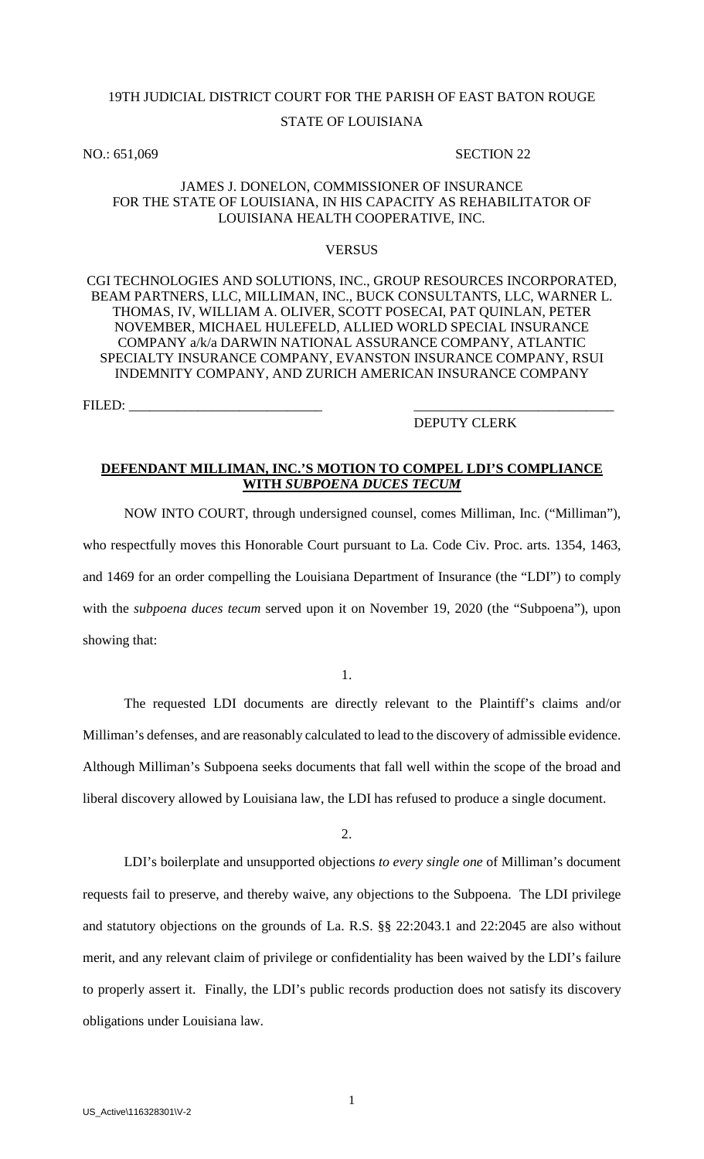# 19TH JUDICIAL DISTRICT COURT FOR THE PARISH OF EAST BATON ROUGE STATE OF LOUISIANA

#### NO.: 651,069 SECTION 22

## JAMES J. DONELON, COMMISSIONER OF INSURANCE FOR THE STATE OF LOUISIANA, IN HIS CAPACITY AS REHABILITATOR OF LOUISIANA HEALTH COOPERATIVE, INC.

### **VERSUS**

CGI TECHNOLOGIES AND SOLUTIONS, INC., GROUP RESOURCES INCORPORATED, BEAM PARTNERS, LLC, MILLIMAN, INC., BUCK CONSULTANTS, LLC, WARNER L. THOMAS, IV, WILLIAM A. OLIVER, SCOTT POSECAI, PAT QUINLAN, PETER NOVEMBER, MICHAEL HULEFELD, ALLIED WORLD SPECIAL INSURANCE COMPANY a/k/a DARWIN NATIONAL ASSURANCE COMPANY, ATLANTIC SPECIALTY INSURANCE COMPANY, EVANSTON INSURANCE COMPANY, RSUI INDEMNITY COMPANY, AND ZURICH AMERICAN INSURANCE COMPANY

FILED:

# DEPUTY CLERK

# **DEFENDANT MILLIMAN, INC.'S MOTION TO COMPEL LDI'S COMPLIANCE WITH** *SUBPOENA DUCES TECUM*

NOW INTO COURT, through undersigned counsel, comes Milliman, Inc. ("Milliman"), who respectfully moves this Honorable Court pursuant to La. Code Civ. Proc. arts. 1354, 1463, and 1469 for an order compelling the Louisiana Department of Insurance (the "LDI") to comply with the *subpoena duces tecum* served upon it on November 19, 2020 (the "Subpoena"), upon showing that:

1.

The requested LDI documents are directly relevant to the Plaintiff's claims and/or Milliman's defenses, and are reasonably calculated to lead to the discovery of admissible evidence. Although Milliman's Subpoena seeks documents that fall well within the scope of the broad and liberal discovery allowed by Louisiana law, the LDI has refused to produce a single document.

 $\mathcal{L}$ 

LDI's boilerplate and unsupported objections *to every single one* of Milliman's document requests fail to preserve, and thereby waive, any objections to the Subpoena. The LDI privilege and statutory objections on the grounds of La. R.S. §§ 22:2043.1 and 22:2045 are also without merit, and any relevant claim of privilege or confidentiality has been waived by the LDI's failure to properly assert it. Finally, the LDI's public records production does not satisfy its discovery obligations under Louisiana law.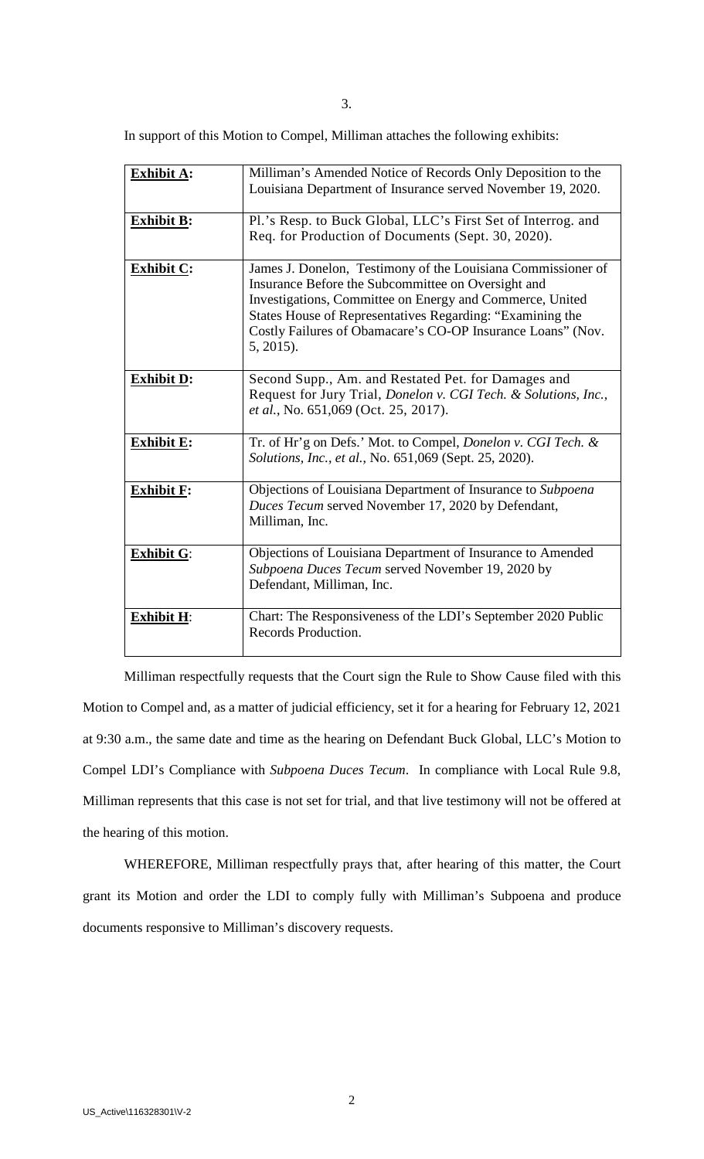In support of this Motion to Compel, Milliman attaches the following exhibits:

| <b>Exhibit A:</b> | Milliman's Amended Notice of Records Only Deposition to the<br>Louisiana Department of Insurance served November 19, 2020.                                                                                                                                                                                                 |
|-------------------|----------------------------------------------------------------------------------------------------------------------------------------------------------------------------------------------------------------------------------------------------------------------------------------------------------------------------|
| <b>Exhibit B:</b> | Pl.'s Resp. to Buck Global, LLC's First Set of Interrog. and<br>Req. for Production of Documents (Sept. 30, 2020).                                                                                                                                                                                                         |
| <b>Exhibit C:</b> | James J. Donelon, Testimony of the Louisiana Commissioner of<br>Insurance Before the Subcommittee on Oversight and<br>Investigations, Committee on Energy and Commerce, United<br>States House of Representatives Regarding: "Examining the<br>Costly Failures of Obamacare's CO-OP Insurance Loans" (Nov.<br>$5, 2015$ ). |
| <b>Exhibit D:</b> | Second Supp., Am. and Restated Pet. for Damages and<br>Request for Jury Trial, Donelon v. CGI Tech. & Solutions, Inc.,<br>et al., No. 651,069 (Oct. 25, 2017).                                                                                                                                                             |
| <b>Exhibit E:</b> | Tr. of Hr'g on Defs.' Mot. to Compel, <i>Donelon v. CGI Tech. &amp;</i><br>Solutions, Inc., et al., No. 651,069 (Sept. 25, 2020).                                                                                                                                                                                          |
| <b>Exhibit F:</b> | Objections of Louisiana Department of Insurance to Subpoena<br>Duces Tecum served November 17, 2020 by Defendant,<br>Milliman, Inc.                                                                                                                                                                                        |
| <b>Exhibit G:</b> | Objections of Louisiana Department of Insurance to Amended<br>Subpoena Duces Tecum served November 19, 2020 by<br>Defendant, Milliman, Inc.                                                                                                                                                                                |
| <b>Exhibit H:</b> | Chart: The Responsiveness of the LDI's September 2020 Public<br>Records Production.                                                                                                                                                                                                                                        |

Milliman respectfully requests that the Court sign the Rule to Show Cause filed with this Motion to Compel and, as a matter of judicial efficiency, set it for a hearing for February 12, 2021 at 9:30 a.m., the same date and time as the hearing on Defendant Buck Global, LLC's Motion to Compel LDI's Compliance with *Subpoena Duces Tecum*. In compliance with Local Rule 9.8, Milliman represents that this case is not set for trial, and that live testimony will not be offered at the hearing of this motion.

WHEREFORE, Milliman respectfully prays that, after hearing of this matter, the Court grant its Motion and order the LDI to comply fully with Milliman's Subpoena and produce documents responsive to Milliman's discovery requests.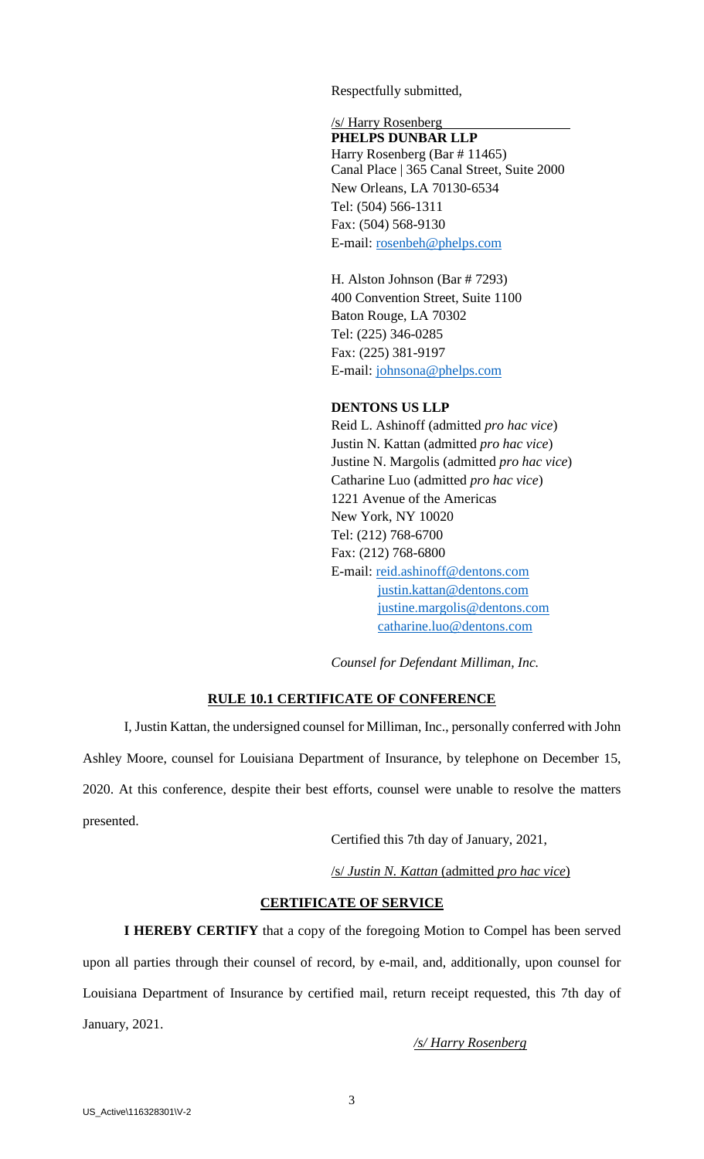Respectfully submitted,

/s/ Harry Rosenberg \_ **PHELPS DUNBAR LLP**  Harry Rosenberg (Bar # 11465) Canal Place | 365 Canal Street, Suite 2000 New Orleans, LA 70130-6534 Tel: (504) 566-1311 Fax: (504) 568-9130 E-mail: [rosenbeh@phelps.com](mailto:rosenbeh@phelps.com)

H. Alston Johnson (Bar # 7293) 400 Convention Street, Suite 1100 Baton Rouge, LA 70302 Tel: (225) 346-0285 Fax: (225) 381-9197 E-mail: [johnsona@phelps.com](mailto:johnsona@phelps.com)

# **DENTONS US LLP**

Reid L. Ashinoff (admitted *pro hac vice*) Justin N. Kattan (admitted *pro hac vice*) Justine N. Margolis (admitted *pro hac vice*) Catharine Luo (admitted *pro hac vice*) 1221 Avenue of the Americas New York, NY 10020 Tel: (212) 768-6700 Fax: (212) 768-6800 E-mail: [reid.ashinoff@dentons.com](mailto:reid.ashinoff@dentons.com) [justin.kattan@dentons.com](mailto:justin.kattan@dentons.com) [justine.margolis@dentons.com](mailto:justine.margolis@dentons.com) [catharine.luo@dentons.com](mailto:catharine.luo@dentons.com)

*Counsel for Defendant Milliman, Inc.* 

### **RULE 10.1 CERTIFICATE OF CONFERENCE**

I, Justin Kattan, the undersigned counsel for Milliman, Inc., personally conferred with John Ashley Moore, counsel for Louisiana Department of Insurance, by telephone on December 15, 2020. At this conference, despite their best efforts, counsel were unable to resolve the matters presented.

Certified this 7th day of January, 2021,

/s/ *Justin N. Kattan* (admitted *pro hac vice*)

### **CERTIFICATE OF SERVICE**

**I HEREBY CERTIFY** that a copy of the foregoing Motion to Compel has been served upon all parties through their counsel of record, by e-mail, and, additionally, upon counsel for Louisiana Department of Insurance by certified mail, return receipt requested, this 7th day of January, 2021.

*/s/ Harry Rosenberg*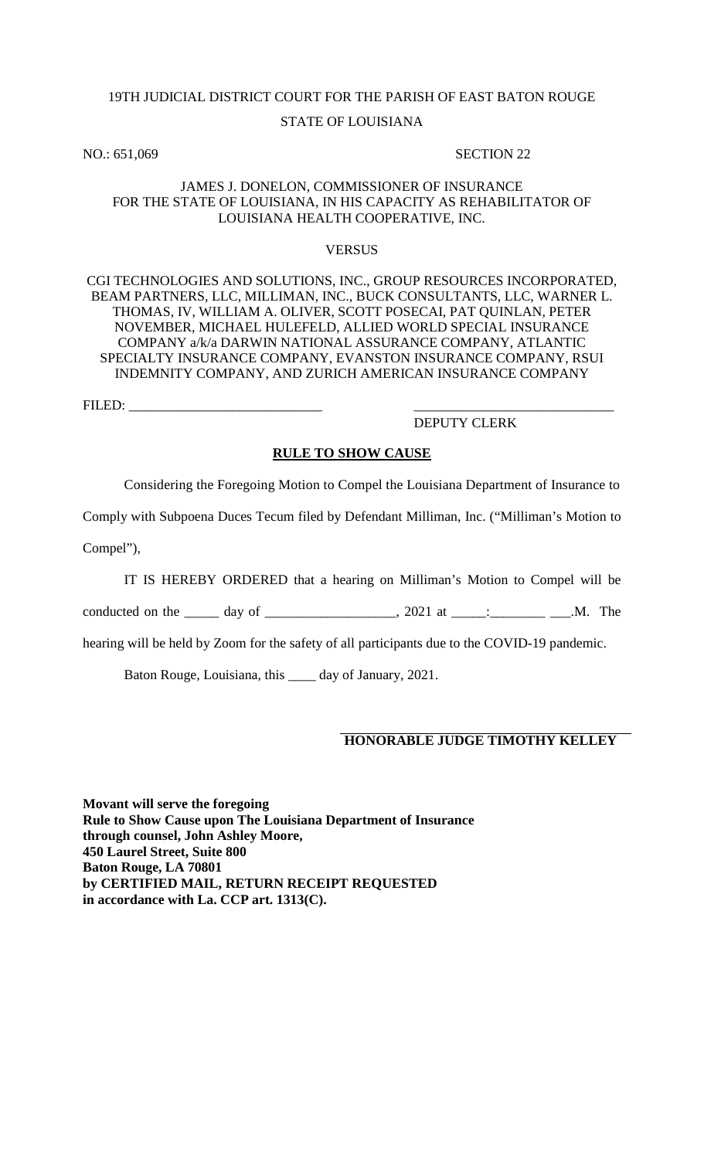# 19TH JUDICIAL DISTRICT COURT FOR THE PARISH OF EAST BATON ROUGE STATE OF LOUISIANA

### NO.: 651,069 SECTION 22

## JAMES J. DONELON, COMMISSIONER OF INSURANCE FOR THE STATE OF LOUISIANA, IN HIS CAPACITY AS REHABILITATOR OF LOUISIANA HEALTH COOPERATIVE, INC.

### **VERSUS**

CGI TECHNOLOGIES AND SOLUTIONS, INC., GROUP RESOURCES INCORPORATED, BEAM PARTNERS, LLC, MILLIMAN, INC., BUCK CONSULTANTS, LLC, WARNER L. THOMAS, IV, WILLIAM A. OLIVER, SCOTT POSECAI, PAT QUINLAN, PETER NOVEMBER, MICHAEL HULEFELD, ALLIED WORLD SPECIAL INSURANCE COMPANY a/k/a DARWIN NATIONAL ASSURANCE COMPANY, ATLANTIC SPECIALTY INSURANCE COMPANY, EVANSTON INSURANCE COMPANY, RSUI INDEMNITY COMPANY, AND ZURICH AMERICAN INSURANCE COMPANY

FILED: \_\_\_\_\_\_\_\_\_\_\_\_\_\_\_\_\_\_\_\_\_\_\_\_\_\_\_\_ \_\_\_\_\_\_\_\_\_\_\_\_\_\_\_\_\_\_\_\_\_\_\_\_\_\_\_\_\_

# DEPUTY CLERK

## **RULE TO SHOW CAUSE**

Considering the Foregoing Motion to Compel the Louisiana Department of Insurance to

Comply with Subpoena Duces Tecum filed by Defendant Milliman, Inc. ("Milliman's Motion to

Compel"),

IT IS HEREBY ORDERED that a hearing on Milliman's Motion to Compel will be

conducted on the  $\qquad$  day of  $\qquad$ , 2021 at  $\qquad$ .  $\qquad$  M. The

hearing will be held by Zoom for the safety of all participants due to the COVID-19 pandemic.

Baton Rouge, Louisiana, this \_\_\_\_ day of January, 2021.

# **HONORABLE JUDGE TIMOTHY KELLEY**

**Movant will serve the foregoing Rule to Show Cause upon The Louisiana Department of Insurance through counsel, John Ashley Moore, 450 Laurel Street, Suite 800 Baton Rouge, LA 70801 by CERTIFIED MAIL, RETURN RECEIPT REQUESTED in accordance with La. CCP art. 1313(C).**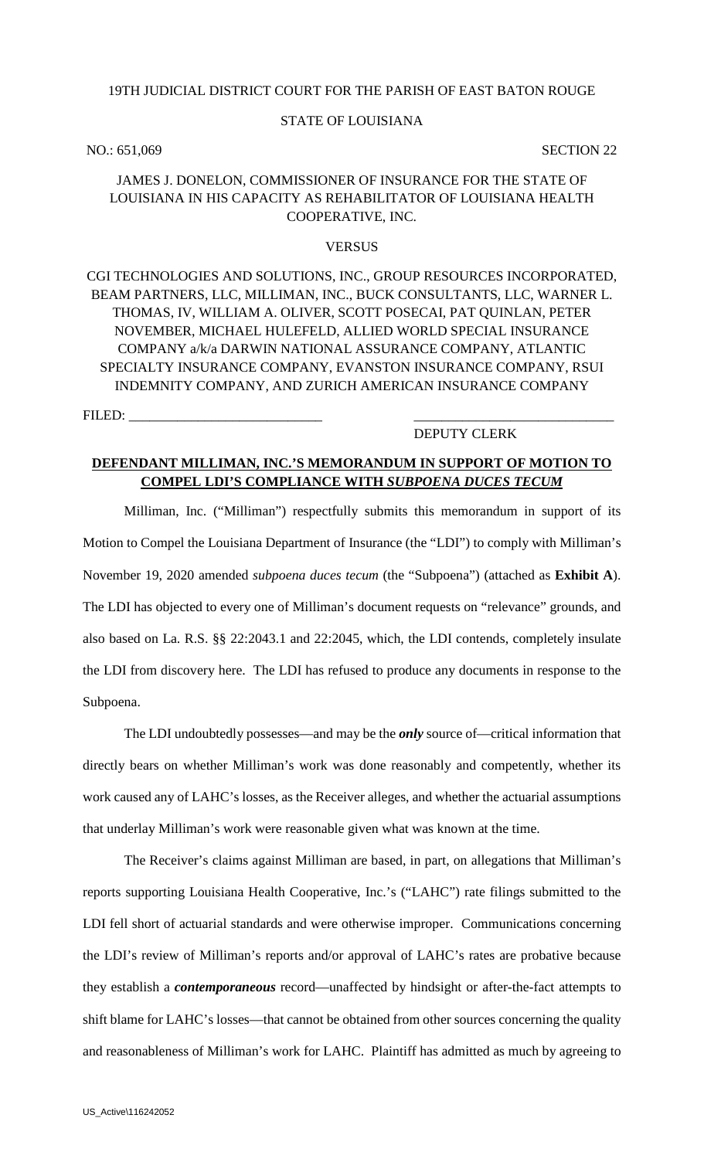# 19TH JUDICIAL DISTRICT COURT FOR THE PARISH OF EAST BATON ROUGE

### STATE OF LOUISIANA

NO.: 651,069 SECTION 22

# JAMES J. DONELON, COMMISSIONER OF INSURANCE FOR THE STATE OF LOUISIANA IN HIS CAPACITY AS REHABILITATOR OF LOUISIANA HEALTH COOPERATIVE, INC.

### **VERSUS**

CGI TECHNOLOGIES AND SOLUTIONS, INC., GROUP RESOURCES INCORPORATED, BEAM PARTNERS, LLC, MILLIMAN, INC., BUCK CONSULTANTS, LLC, WARNER L. THOMAS, IV, WILLIAM A. OLIVER, SCOTT POSECAI, PAT QUINLAN, PETER NOVEMBER, MICHAEL HULEFELD, ALLIED WORLD SPECIAL INSURANCE COMPANY a/k/a DARWIN NATIONAL ASSURANCE COMPANY, ATLANTIC SPECIALTY INSURANCE COMPANY, EVANSTON INSURANCE COMPANY, RSUI INDEMNITY COMPANY, AND ZURICH AMERICAN INSURANCE COMPANY

FILED: \_

#### DEPUTY CLERK

# **DEFENDANT MILLIMAN, INC.'S MEMORANDUM IN SUPPORT OF MOTION TO COMPEL LDI'S COMPLIANCE WITH** *SUBPOENA DUCES TECUM*

Milliman, Inc. ("Milliman") respectfully submits this memorandum in support of its Motion to Compel the Louisiana Department of Insurance (the "LDI") to comply with Milliman's November 19, 2020 amended *subpoena duces tecum* (the "Subpoena") (attached as **Exhibit A**). The LDI has objected to every one of Milliman's document requests on "relevance" grounds, and also based on La. R.S. §§ 22:2043.1 and 22:2045, which, the LDI contends, completely insulate the LDI from discovery here. The LDI has refused to produce any documents in response to the Subpoena.

The LDI undoubtedly possesses—and may be the *only* source of—critical information that directly bears on whether Milliman's work was done reasonably and competently, whether its work caused any of LAHC's losses, as the Receiver alleges, and whether the actuarial assumptions that underlay Milliman's work were reasonable given what was known at the time.

The Receiver's claims against Milliman are based, in part, on allegations that Milliman's reports supporting Louisiana Health Cooperative, Inc.'s ("LAHC") rate filings submitted to the LDI fell short of actuarial standards and were otherwise improper. Communications concerning the LDI's review of Milliman's reports and/or approval of LAHC's rates are probative because they establish a *contemporaneous* record—unaffected by hindsight or after-the-fact attempts to shift blame for LAHC's losses—that cannot be obtained from other sources concerning the quality and reasonableness of Milliman's work for LAHC. Plaintiff has admitted as much by agreeing to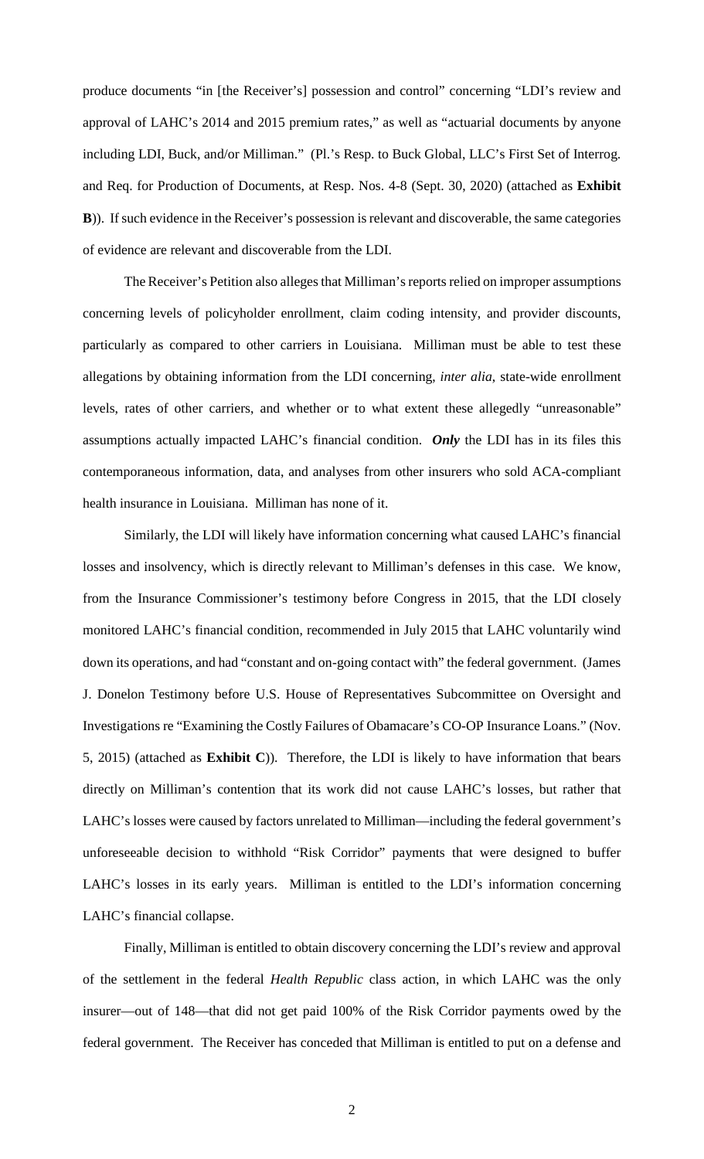produce documents "in [the Receiver's] possession and control" concerning "LDI's review and approval of LAHC's 2014 and 2015 premium rates," as well as "actuarial documents by anyone including LDI, Buck, and/or Milliman." (Pl.'s Resp. to Buck Global, LLC's First Set of Interrog. and Req. for Production of Documents, at Resp. Nos. 4-8 (Sept. 30, 2020) (attached as **Exhibit B**)). If such evidence in the Receiver's possession is relevant and discoverable, the same categories of evidence are relevant and discoverable from the LDI.

The Receiver's Petition also alleges that Milliman's reports relied on improper assumptions concerning levels of policyholder enrollment, claim coding intensity, and provider discounts, particularly as compared to other carriers in Louisiana. Milliman must be able to test these allegations by obtaining information from the LDI concerning, *inter alia*, state-wide enrollment levels, rates of other carriers, and whether or to what extent these allegedly "unreasonable" assumptions actually impacted LAHC's financial condition. *Only* the LDI has in its files this contemporaneous information, data, and analyses from other insurers who sold ACA-compliant health insurance in Louisiana. Milliman has none of it.

Similarly, the LDI will likely have information concerning what caused LAHC's financial losses and insolvency, which is directly relevant to Milliman's defenses in this case. We know, from the Insurance Commissioner's testimony before Congress in 2015, that the LDI closely monitored LAHC's financial condition, recommended in July 2015 that LAHC voluntarily wind down its operations, and had "constant and on-going contact with" the federal government. (James J. Donelon Testimony before U.S. House of Representatives Subcommittee on Oversight and Investigations re "Examining the Costly Failures of Obamacare's CO-OP Insurance Loans." (Nov. 5, 2015) (attached as **Exhibit C**)). Therefore, the LDI is likely to have information that bears directly on Milliman's contention that its work did not cause LAHC's losses, but rather that LAHC's losses were caused by factors unrelated to Milliman—including the federal government's unforeseeable decision to withhold "Risk Corridor" payments that were designed to buffer LAHC's losses in its early years. Milliman is entitled to the LDI's information concerning LAHC's financial collapse.

Finally, Milliman is entitled to obtain discovery concerning the LDI's review and approval of the settlement in the federal *Health Republic* class action, in which LAHC was the only insurer—out of 148—that did not get paid 100% of the Risk Corridor payments owed by the federal government. The Receiver has conceded that Milliman is entitled to put on a defense and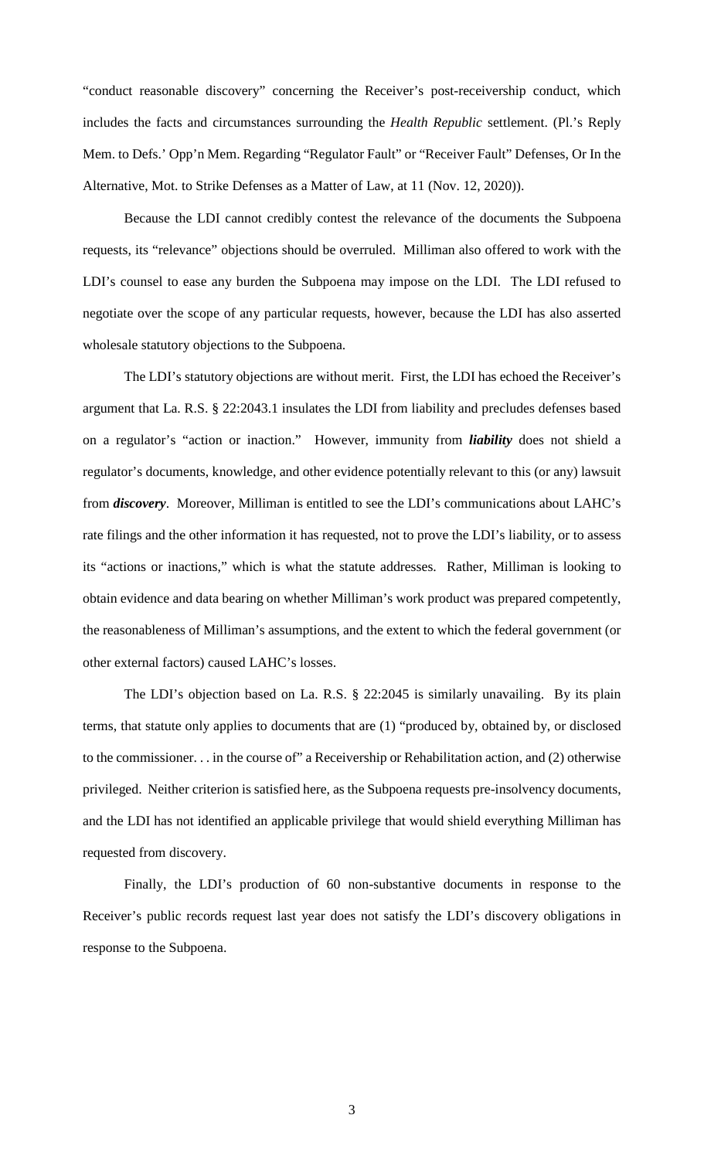"conduct reasonable discovery" concerning the Receiver's post-receivership conduct, which includes the facts and circumstances surrounding the *Health Republic* settlement. (Pl.'s Reply Mem. to Defs.' Opp'n Mem. Regarding "Regulator Fault" or "Receiver Fault" Defenses, Or In the Alternative, Mot. to Strike Defenses as a Matter of Law, at 11 (Nov. 12, 2020)).

Because the LDI cannot credibly contest the relevance of the documents the Subpoena requests, its "relevance" objections should be overruled. Milliman also offered to work with the LDI's counsel to ease any burden the Subpoena may impose on the LDI. The LDI refused to negotiate over the scope of any particular requests, however, because the LDI has also asserted wholesale statutory objections to the Subpoena.

The LDI's statutory objections are without merit. First, the LDI has echoed the Receiver's argument that La. R.S. § 22:2043.1 insulates the LDI from liability and precludes defenses based on a regulator's "action or inaction." However, immunity from *liability* does not shield a regulator's documents, knowledge, and other evidence potentially relevant to this (or any) lawsuit from *discovery*. Moreover, Milliman is entitled to see the LDI's communications about LAHC's rate filings and the other information it has requested, not to prove the LDI's liability, or to assess its "actions or inactions," which is what the statute addresses. Rather, Milliman is looking to obtain evidence and data bearing on whether Milliman's work product was prepared competently, the reasonableness of Milliman's assumptions, and the extent to which the federal government (or other external factors) caused LAHC's losses.

The LDI's objection based on La. R.S. § 22:2045 is similarly unavailing. By its plain terms, that statute only applies to documents that are (1) "produced by, obtained by, or disclosed to the commissioner. . . in the course of" a Receivership or Rehabilitation action, and (2) otherwise privileged. Neither criterion is satisfied here, as the Subpoena requests pre-insolvency documents, and the LDI has not identified an applicable privilege that would shield everything Milliman has requested from discovery.

Finally, the LDI's production of 60 non-substantive documents in response to the Receiver's public records request last year does not satisfy the LDI's discovery obligations in response to the Subpoena.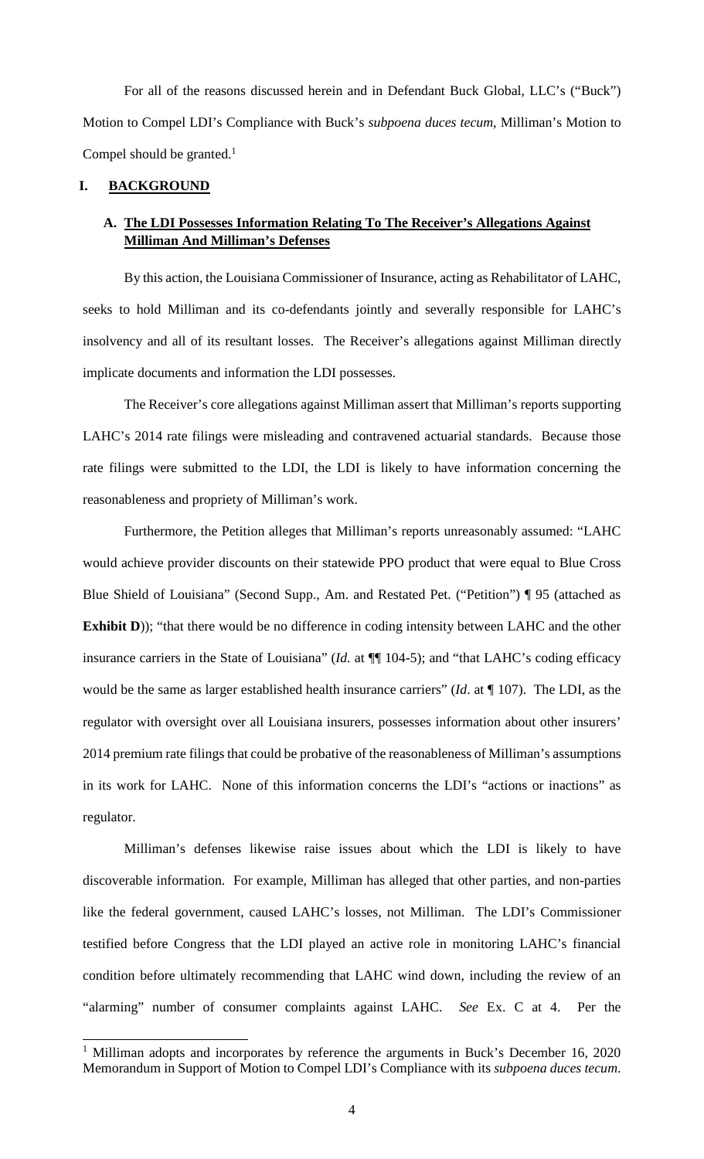For all of the reasons discussed herein and in Defendant Buck Global, LLC's ("Buck") Motion to Compel LDI's Compliance with Buck's *subpoena duces tecum*, Milliman's Motion to Compel should be granted.<sup>1</sup>

### **I. BACKGROUND**

# **A. The LDI Possesses Information Relating To The Receiver's Allegations Against Milliman And Milliman's Defenses**

By this action, the Louisiana Commissioner of Insurance, acting as Rehabilitator of LAHC, seeks to hold Milliman and its co-defendants jointly and severally responsible for LAHC's insolvency and all of its resultant losses. The Receiver's allegations against Milliman directly implicate documents and information the LDI possesses.

The Receiver's core allegations against Milliman assert that Milliman's reports supporting LAHC's 2014 rate filings were misleading and contravened actuarial standards. Because those rate filings were submitted to the LDI, the LDI is likely to have information concerning the reasonableness and propriety of Milliman's work.

Furthermore, the Petition alleges that Milliman's reports unreasonably assumed: "LAHC would achieve provider discounts on their statewide PPO product that were equal to Blue Cross Blue Shield of Louisiana" (Second Supp., Am. and Restated Pet. ("Petition") ¶ 95 (attached as **Exhibit D**)); "that there would be no difference in coding intensity between LAHC and the other insurance carriers in the State of Louisiana" (*Id.* at ¶¶ 104-5); and "that LAHC's coding efficacy would be the same as larger established health insurance carriers" (*Id*. at ¶ 107). The LDI, as the regulator with oversight over all Louisiana insurers, possesses information about other insurers' 2014 premium rate filings that could be probative of the reasonableness of Milliman's assumptions in its work for LAHC. None of this information concerns the LDI's "actions or inactions" as regulator.

Milliman's defenses likewise raise issues about which the LDI is likely to have discoverable information. For example, Milliman has alleged that other parties, and non-parties like the federal government, caused LAHC's losses, not Milliman. The LDI's Commissioner testified before Congress that the LDI played an active role in monitoring LAHC's financial condition before ultimately recommending that LAHC wind down, including the review of an "alarming" number of consumer complaints against LAHC. *See* Ex. C at 4. Per the

<sup>&</sup>lt;sup>1</sup> Milliman adopts and incorporates by reference the arguments in Buck's December 16, 2020 Memorandum in Support of Motion to Compel LDI's Compliance with its *subpoena duces tecum*.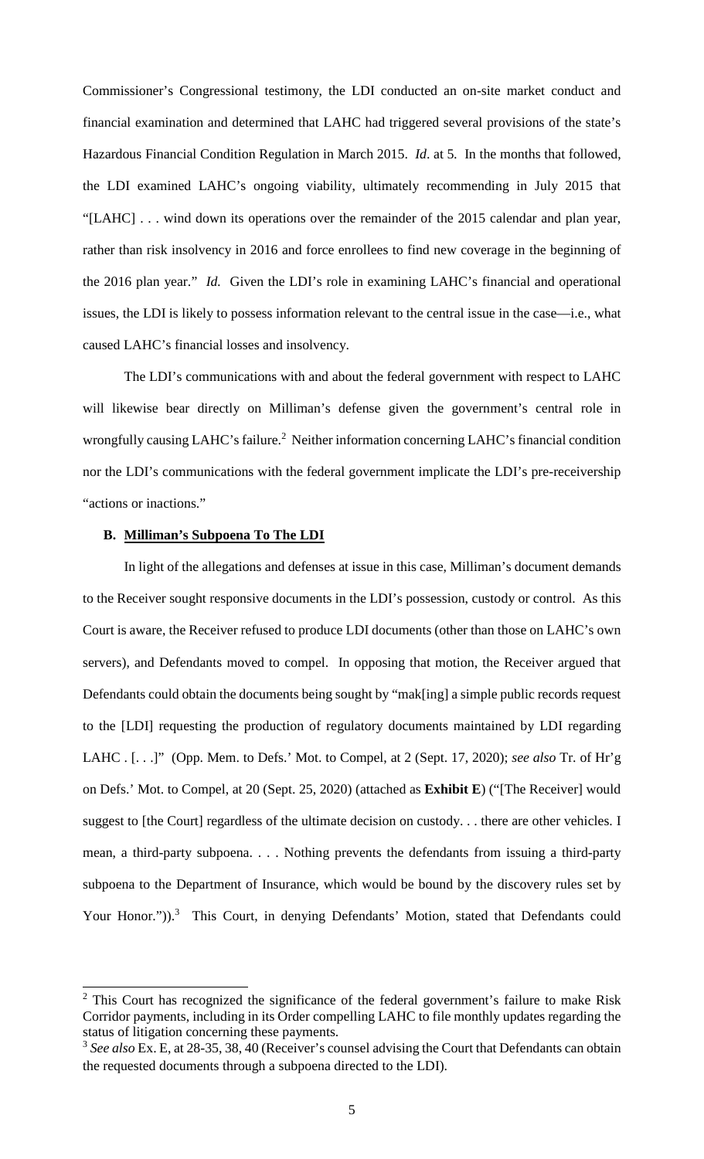Commissioner's Congressional testimony, the LDI conducted an on-site market conduct and financial examination and determined that LAHC had triggered several provisions of the state's Hazardous Financial Condition Regulation in March 2015. *Id*. at 5*.* In the months that followed, the LDI examined LAHC's ongoing viability, ultimately recommending in July 2015 that "[LAHC] . . . wind down its operations over the remainder of the 2015 calendar and plan year, rather than risk insolvency in 2016 and force enrollees to find new coverage in the beginning of the 2016 plan year." *Id.* Given the LDI's role in examining LAHC's financial and operational issues, the LDI is likely to possess information relevant to the central issue in the case—i.e., what caused LAHC's financial losses and insolvency.

The LDI's communications with and about the federal government with respect to LAHC will likewise bear directly on Milliman's defense given the government's central role in wrongfully causing LAHC's failure.<sup>2</sup> Neither information concerning LAHC's financial condition nor the LDI's communications with the federal government implicate the LDI's pre-receivership "actions or inactions."

### **B. Milliman's Subpoena To The LDI**

In light of the allegations and defenses at issue in this case, Milliman's document demands to the Receiver sought responsive documents in the LDI's possession, custody or control. As this Court is aware, the Receiver refused to produce LDI documents (other than those on LAHC's own servers), and Defendants moved to compel. In opposing that motion, the Receiver argued that Defendants could obtain the documents being sought by "mak[ing] a simple public records request to the [LDI] requesting the production of regulatory documents maintained by LDI regarding LAHC . [. . .]" (Opp. Mem. to Defs.' Mot. to Compel, at 2 (Sept. 17, 2020); *see also* Tr. of Hr'g on Defs.' Mot. to Compel, at 20 (Sept. 25, 2020) (attached as **Exhibit E**) ("[The Receiver] would suggest to [the Court] regardless of the ultimate decision on custody... there are other vehicles. I mean, a third-party subpoena. . . . Nothing prevents the defendants from issuing a third-party subpoena to the Department of Insurance, which would be bound by the discovery rules set by Your Honor.")).<sup>3</sup> This Court, in denying Defendants' Motion, stated that Defendants could

<sup>&</sup>lt;sup>2</sup> This Court has recognized the significance of the federal government's failure to make Risk Corridor payments, including in its Order compelling LAHC to file monthly updates regarding the status of litigation concerning these payments.

<sup>&</sup>lt;sup>3</sup> See also Ex. E, at 28-35, 38, 40 (Receiver's counsel advising the Court that Defendants can obtain the requested documents through a subpoena directed to the LDI).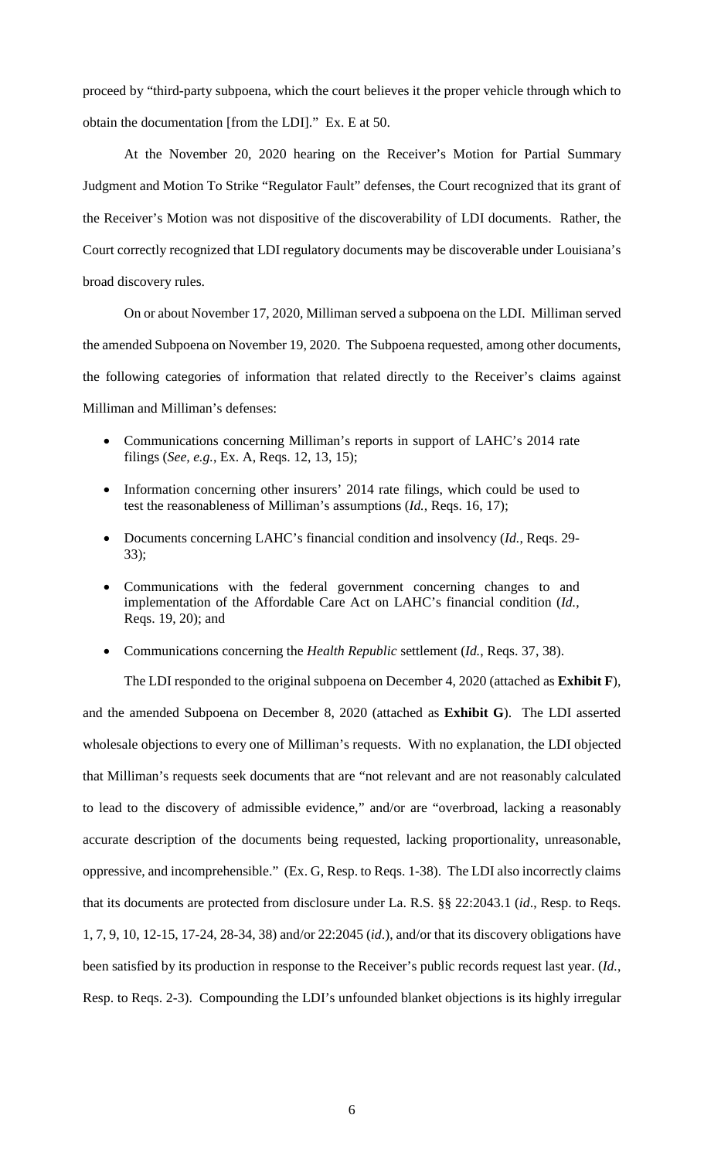proceed by "third-party subpoena, which the court believes it the proper vehicle through which to obtain the documentation [from the LDI]." Ex. E at 50.

At the November 20, 2020 hearing on the Receiver's Motion for Partial Summary Judgment and Motion To Strike "Regulator Fault" defenses, the Court recognized that its grant of the Receiver's Motion was not dispositive of the discoverability of LDI documents. Rather, the Court correctly recognized that LDI regulatory documents may be discoverable under Louisiana's broad discovery rules.

On or about November 17, 2020, Milliman served a subpoena on the LDI. Milliman served the amended Subpoena on November 19, 2020. The Subpoena requested, among other documents, the following categories of information that related directly to the Receiver's claims against Milliman and Milliman's defenses:

- Communications concerning Milliman's reports in support of LAHC's 2014 rate filings (*See, e.g.*, Ex. A, Reqs. 12, 13, 15);
- Information concerning other insurers' 2014 rate filings, which could be used to test the reasonableness of Milliman's assumptions (*Id.*, Reqs. 16, 17);
- Documents concerning LAHC's financial condition and insolvency (*Id.*, Reqs. 29- 33);
- Communications with the federal government concerning changes to and implementation of the Affordable Care Act on LAHC's financial condition (*Id.*, Reqs. 19, 20); and
- Communications concerning the *Health Republic* settlement (*Id.*, Reqs. 37, 38).

The LDI responded to the original subpoena on December 4, 2020 (attached as **Exhibit F**), and the amended Subpoena on December 8, 2020 (attached as **Exhibit G**). The LDI asserted wholesale objections to every one of Milliman's requests. With no explanation, the LDI objected that Milliman's requests seek documents that are "not relevant and are not reasonably calculated to lead to the discovery of admissible evidence," and/or are "overbroad, lacking a reasonably accurate description of the documents being requested, lacking proportionality, unreasonable, oppressive, and incomprehensible." (Ex. G, Resp. to Reqs. 1-38). The LDI also incorrectly claims that its documents are protected from disclosure under La. R.S. §§ 22:2043.1 (*id*., Resp. to Reqs. 1, 7, 9, 10, 12-15, 17-24, 28-34, 38) and/or 22:2045 (*id*.), and/or that its discovery obligations have been satisfied by its production in response to the Receiver's public records request last year. (*Id.*, Resp. to Reqs. 2-3). Compounding the LDI's unfounded blanket objections is its highly irregular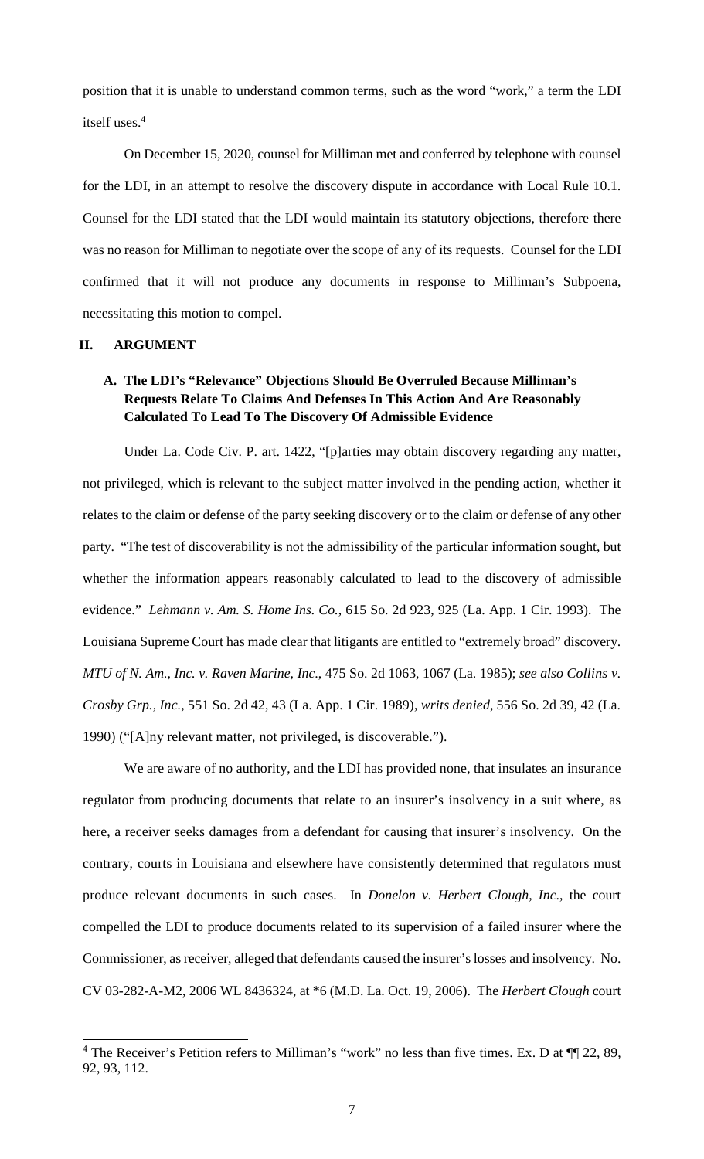position that it is unable to understand common terms, such as the word "work," a term the LDI itself uses.<sup>4</sup>

On December 15, 2020, counsel for Milliman met and conferred by telephone with counsel for the LDI, in an attempt to resolve the discovery dispute in accordance with Local Rule 10.1. Counsel for the LDI stated that the LDI would maintain its statutory objections, therefore there was no reason for Milliman to negotiate over the scope of any of its requests. Counsel for the LDI confirmed that it will not produce any documents in response to Milliman's Subpoena, necessitating this motion to compel.

# **II. ARGUMENT**

# **A. The LDI's "Relevance" Objections Should Be Overruled Because Milliman's Requests Relate To Claims And Defenses In This Action And Are Reasonably Calculated To Lead To The Discovery Of Admissible Evidence**

Under La. Code Civ. P. art. 1422, "[p]arties may obtain discovery regarding any matter, not privileged, which is relevant to the subject matter involved in the pending action, whether it relates to the claim or defense of the party seeking discovery or to the claim or defense of any other party. "The test of discoverability is not the admissibility of the particular information sought, but whether the information appears reasonably calculated to lead to the discovery of admissible evidence." *Lehmann v. Am. S. Home Ins. Co.*, 615 So. 2d 923, 925 (La. App. 1 Cir. 1993). The Louisiana Supreme Court has made clear that litigants are entitled to "extremely broad" discovery. *MTU of N. Am., Inc. v. Raven Marine, Inc*., 475 So. 2d 1063, 1067 (La. 1985); *see also Collins v. Crosby Grp., Inc.*, 551 So. 2d 42, 43 (La. App. 1 Cir. 1989), *writs denied*, 556 So. 2d 39, 42 (La. 1990) ("[A]ny relevant matter, not privileged, is discoverable.").

We are aware of no authority, and the LDI has provided none, that insulates an insurance regulator from producing documents that relate to an insurer's insolvency in a suit where, as here, a receiver seeks damages from a defendant for causing that insurer's insolvency. On the contrary, courts in Louisiana and elsewhere have consistently determined that regulators must produce relevant documents in such cases. In *Donelon v. Herbert Clough, Inc*., the court compelled the LDI to produce documents related to its supervision of a failed insurer where the Commissioner, as receiver, alleged that defendants caused the insurer's losses and insolvency. No. CV 03-282-A-M2, 2006 WL 8436324, at \*6 (M.D. La. Oct. 19, 2006). The *Herbert Clough* court

<sup>&</sup>lt;sup>4</sup> The Receiver's Petition refers to Milliman's "work" no less than five times. Ex. D at  $\P$  22, 89, 92, 93, 112.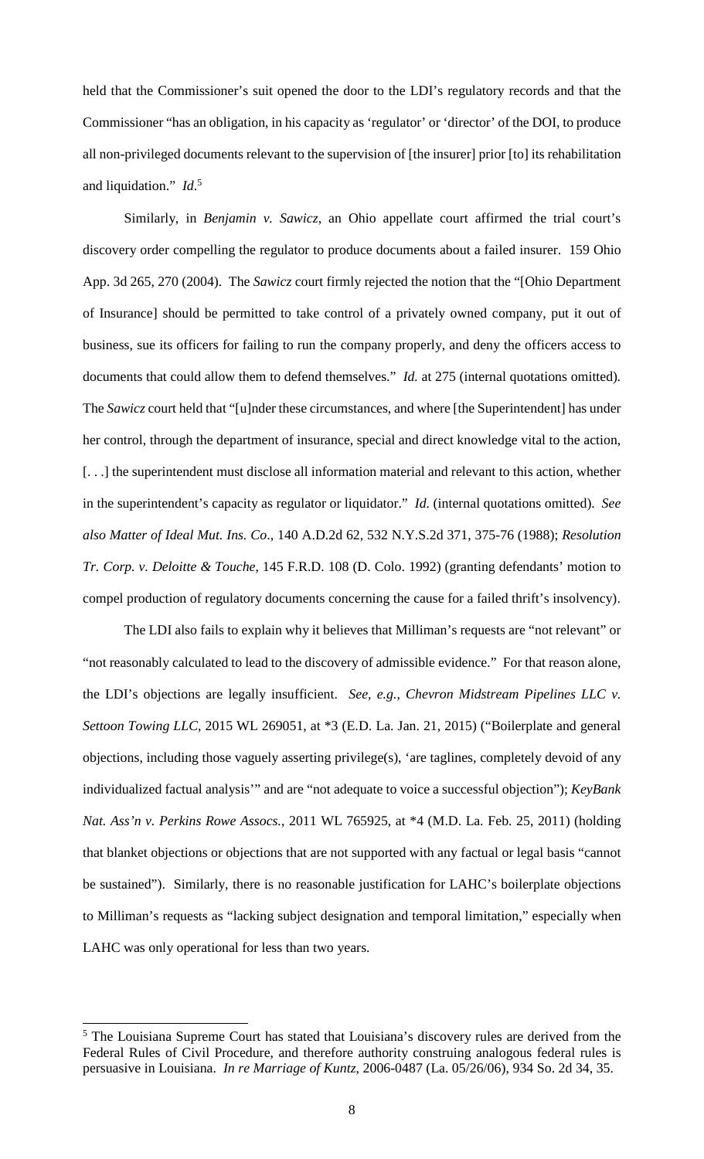held that the Commissioner's suit opened the door to the LDI's regulatory records and that the Commissioner "has an obligation, in his capacity as 'regulator' or 'director' of the DOI, to produce all non-privileged documents relevant to the supervision of [the insurer] prior [to] its rehabilitation and liquidation." *Id*. 5

Similarly, in *Benjamin v. Sawicz*, an Ohio appellate court affirmed the trial court's discovery order compelling the regulator to produce documents about a failed insurer. 159 Ohio App. 3d 265, 270 (2004). The *Sawicz* court firmly rejected the notion that the "[Ohio Department of Insurance] should be permitted to take control of a privately owned company, put it out of business, sue its officers for failing to run the company properly, and deny the officers access to documents that could allow them to defend themselves." *Id.* at 275 (internal quotations omitted)*.* The *Sawicz* court held that "[u]nder these circumstances, and where [the Superintendent] has under her control, through the department of insurance, special and direct knowledge vital to the action, [. . .] the superintendent must disclose all information material and relevant to this action, whether in the superintendent's capacity as regulator or liquidator." *Id.* (internal quotations omitted). *See also Matter of Ideal Mut. Ins. Co*., 140 A.D.2d 62, 532 N.Y.S.2d 371, 375-76 (1988); *Resolution Tr. Corp. v. Deloitte & Touche*, 145 F.R.D. 108 (D. Colo. 1992) (granting defendants' motion to compel production of regulatory documents concerning the cause for a failed thrift's insolvency).

The LDI also fails to explain why it believes that Milliman's requests are "not relevant" or "not reasonably calculated to lead to the discovery of admissible evidence." For that reason alone, the LDI's objections are legally insufficient. *See, e.g.*, *Chevron Midstream Pipelines LLC v. Settoon Towing LLC*, 2015 WL 269051, at \*3 (E.D. La. Jan. 21, 2015) ("Boilerplate and general objections, including those vaguely asserting privilege(s), 'are taglines, completely devoid of any individualized factual analysis'" and are "not adequate to voice a successful objection"); *KeyBank Nat. Ass'n v. Perkins Rowe Assocs.*, 2011 WL 765925, at \*4 (M.D. La. Feb. 25, 2011) (holding that blanket objections or objections that are not supported with any factual or legal basis "cannot be sustained"). Similarly, there is no reasonable justification for LAHC's boilerplate objections to Milliman's requests as "lacking subject designation and temporal limitation," especially when LAHC was only operational for less than two years.

<sup>&</sup>lt;sup>5</sup> The Louisiana Supreme Court has stated that Louisiana's discovery rules are derived from the Federal Rules of Civil Procedure, and therefore authority construing analogous federal rules is persuasive in Louisiana. *In re Marriage of Kuntz*, 2006-0487 (La. 05/26/06), 934 So. 2d 34, 35.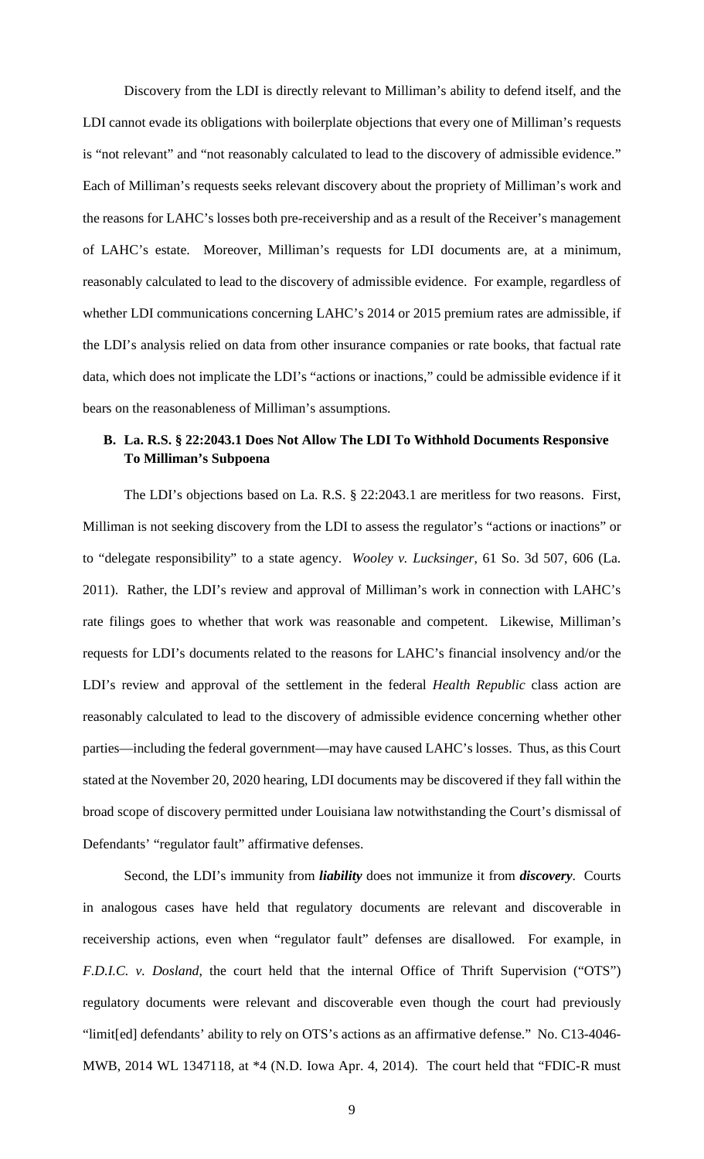Discovery from the LDI is directly relevant to Milliman's ability to defend itself, and the LDI cannot evade its obligations with boilerplate objections that every one of Milliman's requests is "not relevant" and "not reasonably calculated to lead to the discovery of admissible evidence." Each of Milliman's requests seeks relevant discovery about the propriety of Milliman's work and the reasons for LAHC's losses both pre-receivership and as a result of the Receiver's management of LAHC's estate. Moreover, Milliman's requests for LDI documents are, at a minimum, reasonably calculated to lead to the discovery of admissible evidence. For example, regardless of whether LDI communications concerning LAHC's 2014 or 2015 premium rates are admissible, if the LDI's analysis relied on data from other insurance companies or rate books, that factual rate data, which does not implicate the LDI's "actions or inactions," could be admissible evidence if it bears on the reasonableness of Milliman's assumptions.

# **B. La. R.S. § 22:2043.1 Does Not Allow The LDI To Withhold Documents Responsive To Milliman's Subpoena**

The LDI's objections based on La. R.S. § 22:2043.1 are meritless for two reasons. First, Milliman is not seeking discovery from the LDI to assess the regulator's "actions or inactions" or to "delegate responsibility" to a state agency. *Wooley v. Lucksinger*, 61 So. 3d 507, 606 (La. 2011). Rather, the LDI's review and approval of Milliman's work in connection with LAHC's rate filings goes to whether that work was reasonable and competent. Likewise, Milliman's requests for LDI's documents related to the reasons for LAHC's financial insolvency and/or the LDI's review and approval of the settlement in the federal *Health Republic* class action are reasonably calculated to lead to the discovery of admissible evidence concerning whether other parties—including the federal government—may have caused LAHC's losses. Thus, as this Court stated at the November 20, 2020 hearing, LDI documents may be discovered if they fall within the broad scope of discovery permitted under Louisiana law notwithstanding the Court's dismissal of Defendants' "regulator fault" affirmative defenses.

Second, the LDI's immunity from *liability* does not immunize it from *discovery*. Courts in analogous cases have held that regulatory documents are relevant and discoverable in receivership actions, even when "regulator fault" defenses are disallowed. For example, in *F.D.I.C. v. Dosland*, the court held that the internal Office of Thrift Supervision ("OTS") regulatory documents were relevant and discoverable even though the court had previously "limit[ed] defendants' ability to rely on OTS's actions as an affirmative defense." No. C13-4046- MWB, 2014 WL 1347118, at \*4 (N.D. Iowa Apr. 4, 2014). The court held that "FDIC-R must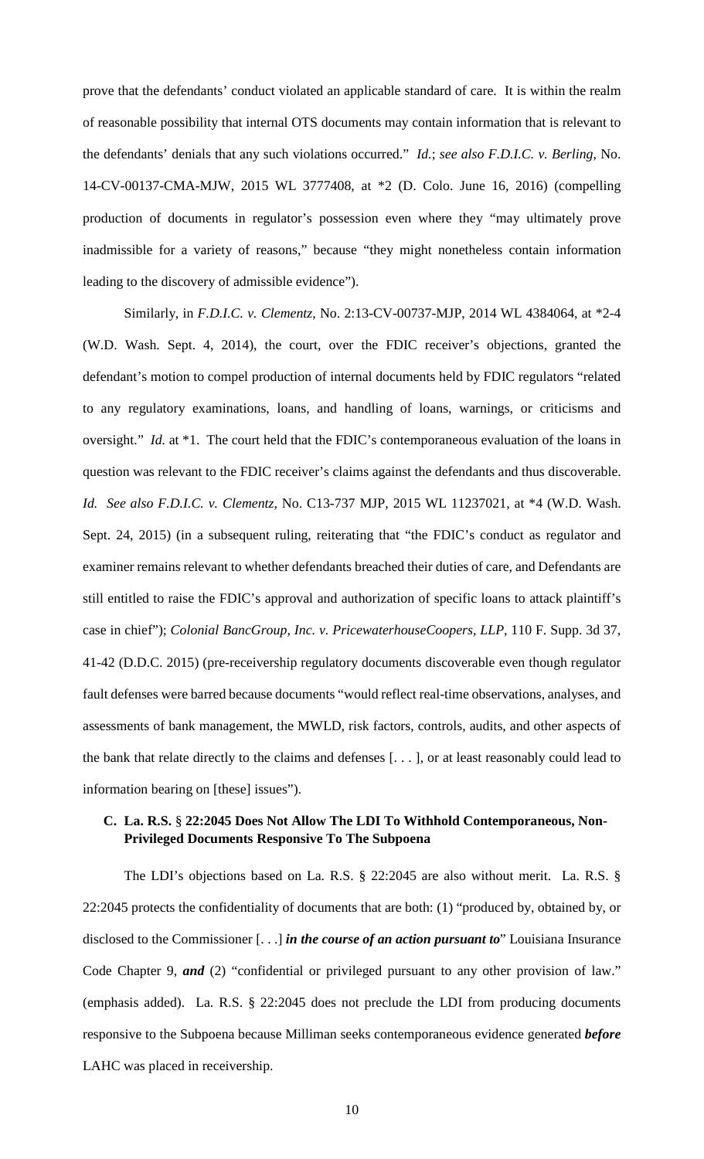prove that the defendants' conduct violated an applicable standard of care. It is within the realm of reasonable possibility that internal OTS documents may contain information that is relevant to the defendants' denials that any such violations occurred." *Id.*; *see also F.D.I.C. v. Berling*, No. 14-CV-00137-CMA-MJW, 2015 WL 3777408, at \*2 (D. Colo. June 16, 2016) (compelling production of documents in regulator's possession even where they "may ultimately prove inadmissible for a variety of reasons," because "they might nonetheless contain information leading to the discovery of admissible evidence").

Similarly, in *F.D.I.C. v. Clementz*, No. 2:13-CV-00737-MJP, 2014 WL 4384064, at \*2-4 (W.D. Wash. Sept. 4, 2014), the court, over the FDIC receiver's objections, granted the defendant's motion to compel production of internal documents held by FDIC regulators "related to any regulatory examinations, loans, and handling of loans, warnings, or criticisms and oversight." *Id.* at \*1. The court held that the FDIC's contemporaneous evaluation of the loans in question was relevant to the FDIC receiver's claims against the defendants and thus discoverable. *Id. See also F.D.I.C. v. Clementz*, No. C13-737 MJP, 2015 WL 11237021, at \*4 (W.D. Wash. Sept. 24, 2015) (in a subsequent ruling, reiterating that "the FDIC's conduct as regulator and examiner remains relevant to whether defendants breached their duties of care, and Defendants are still entitled to raise the FDIC's approval and authorization of specific loans to attack plaintiff's case in chief"); *Colonial BancGroup, Inc. v. PricewaterhouseCoopers, LLP*, 110 F. Supp. 3d 37, 41-42 (D.D.C. 2015) (pre-receivership regulatory documents discoverable even though regulator fault defenses were barred because documents "would reflect real-time observations, analyses, and assessments of bank management, the MWLD, risk factors, controls, audits, and other aspects of the bank that relate directly to the claims and defenses [. . . ], or at least reasonably could lead to information bearing on [these] issues").

# **C. La. R.S.** § **22:2045 Does Not Allow The LDI To Withhold Contemporaneous, Non-Privileged Documents Responsive To The Subpoena**

The LDI's objections based on La. R.S. § 22:2045 are also without merit. La. R.S. § 22:2045 protects the confidentiality of documents that are both: (1) "produced by, obtained by, or disclosed to the Commissioner [. . .] *in the course of an action pursuant to*" Louisiana Insurance Code Chapter 9, *and* (2) "confidential or privileged pursuant to any other provision of law." (emphasis added). La. R.S. § 22:2045 does not preclude the LDI from producing documents responsive to the Subpoena because Milliman seeks contemporaneous evidence generated *before* LAHC was placed in receivership.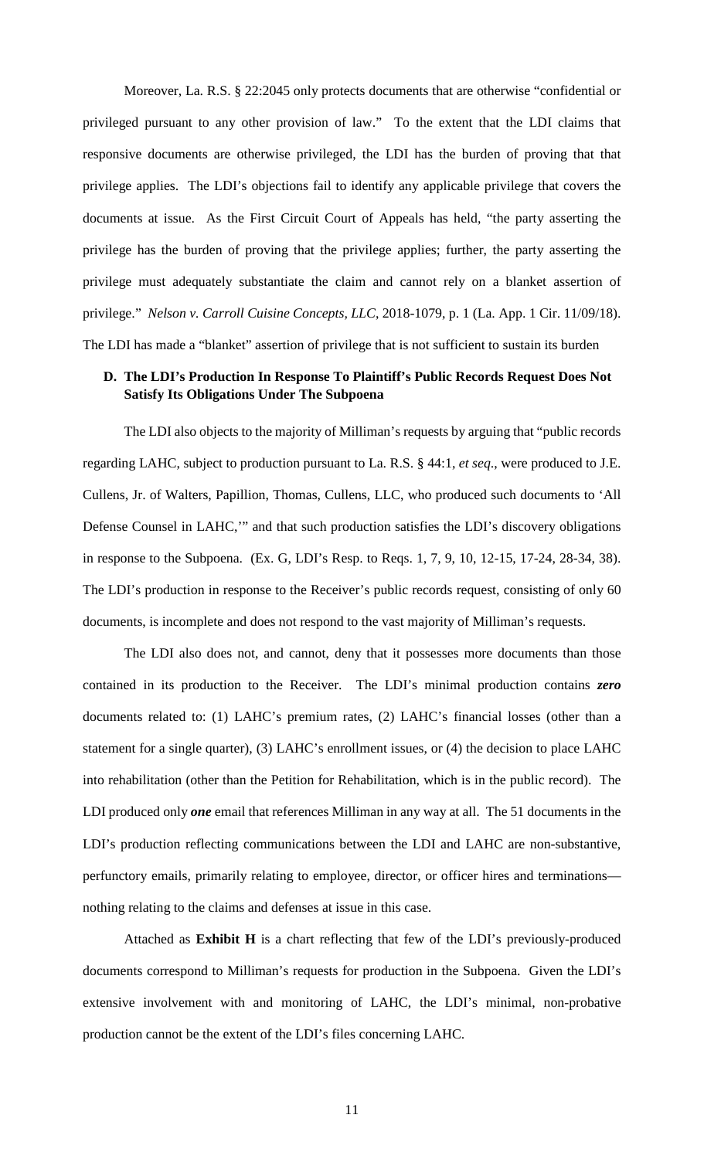Moreover, La. R.S. § 22:2045 only protects documents that are otherwise "confidential or privileged pursuant to any other provision of law." To the extent that the LDI claims that responsive documents are otherwise privileged, the LDI has the burden of proving that that privilege applies. The LDI's objections fail to identify any applicable privilege that covers the documents at issue. As the First Circuit Court of Appeals has held, "the party asserting the privilege has the burden of proving that the privilege applies; further, the party asserting the privilege must adequately substantiate the claim and cannot rely on a blanket assertion of privilege." *Nelson v. Carroll Cuisine Concepts, LLC*, 2018-1079, p. 1 (La. App. 1 Cir. 11/09/18). The LDI has made a "blanket" assertion of privilege that is not sufficient to sustain its burden

# **D. The LDI's Production In Response To Plaintiff's Public Records Request Does Not Satisfy Its Obligations Under The Subpoena**

The LDI also objects to the majority of Milliman's requests by arguing that "public records regarding LAHC, subject to production pursuant to La. R.S. § 44:1, *et seq*., were produced to J.E. Cullens, Jr. of Walters, Papillion, Thomas, Cullens, LLC, who produced such documents to 'All Defense Counsel in LAHC,'" and that such production satisfies the LDI's discovery obligations in response to the Subpoena. (Ex. G, LDI's Resp. to Reqs. 1, 7, 9, 10, 12-15, 17-24, 28-34, 38). The LDI's production in response to the Receiver's public records request, consisting of only 60 documents, is incomplete and does not respond to the vast majority of Milliman's requests.

The LDI also does not, and cannot, deny that it possesses more documents than those contained in its production to the Receiver. The LDI's minimal production contains *zero* documents related to: (1) LAHC's premium rates, (2) LAHC's financial losses (other than a statement for a single quarter), (3) LAHC's enrollment issues, or (4) the decision to place LAHC into rehabilitation (other than the Petition for Rehabilitation, which is in the public record). The LDI produced only *one* email that references Milliman in any way at all. The 51 documents in the LDI's production reflecting communications between the LDI and LAHC are non-substantive, perfunctory emails, primarily relating to employee, director, or officer hires and terminations nothing relating to the claims and defenses at issue in this case.

Attached as **Exhibit H** is a chart reflecting that few of the LDI's previously-produced documents correspond to Milliman's requests for production in the Subpoena. Given the LDI's extensive involvement with and monitoring of LAHC, the LDI's minimal, non-probative production cannot be the extent of the LDI's files concerning LAHC.